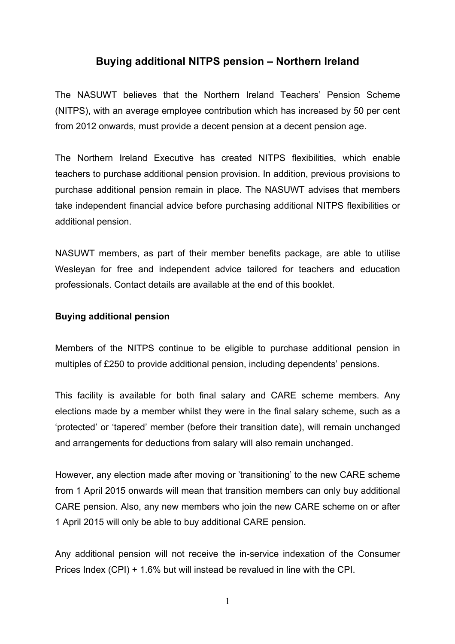## **Buying additional NITPS pension – Northern Ireland**

The NASUWT believes that the Northern Ireland Teachers' Pension Scheme (NITPS), with an average employee contribution which has increased by 50 per cent from 2012 onwards, must provide a decent pension at a decent pension age.

 take independent financial advice before purchasing additional NITPS flexibilities or The Northern Ireland Executive has created NITPS flexibilities, which enable teachers to purchase additional pension provision. In addition, previous provisions to purchase additional pension remain in place. The NASUWT advises that members additional pension.

NASUWT members, as part of their member benefits package, are able to utilise Wesleyan for free and independent advice tailored for teachers and education professionals. Contact details are available at the end of this booklet.

## **Buying additional pension**

 multiples of £250 to provide additional pension, including dependents' pensions. Members of the NITPS continue to be eligible to purchase additional pension in

This facility is available for both final salary and CARE scheme members. Any elections made by a member whilst they were in the final salary scheme, such as a 'protected' or 'tapered' member (before their transition date), will remain unchanged and arrangements for deductions from salary will also remain unchanged.

 from 1 April 2015 onwards will mean that transition members can only buy additional However, any election made after moving or 'transitioning' to the new CARE scheme CARE pension. Also, any new members who join the new CARE scheme on or after 1 April 2015 will only be able to buy additional CARE pension.

 Any additional pension will not receive the in-service indexation of the Consumer Prices Index (CPI) + 1.6% but will instead be revalued in line with the CPI.

1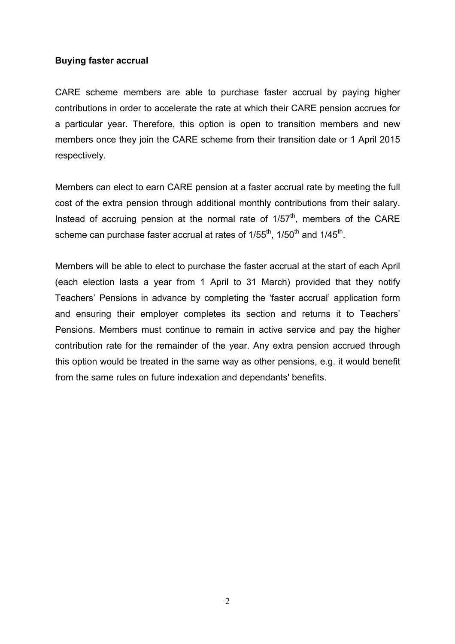## **Buying faster accrual**

CARE scheme members are able to purchase faster accrual by paying higher contributions in order to accelerate the rate at which their CARE pension accrues for a particular year. Therefore, this option is open to transition members and new members once they join the CARE scheme from their transition date or 1 April 2015 respectively.

 Members can elect to earn CARE pension at a faster accrual rate by meeting the full cost of the extra pension through additional monthly contributions from their salary. Instead of accruing pension at the normal rate of  $1/57<sup>th</sup>$ , members of the CARE scheme can purchase faster accrual at rates of  $1/55<sup>th</sup>$ ,  $1/50<sup>th</sup>$  and  $1/45<sup>th</sup>$ .

 Members will be able to elect to purchase the faster accrual at the start of each April (each election lasts a year from 1 April to 31 March) provided that they notify from the same rules on future indexation and dependants' benefits. Teachers' Pensions in advance by completing the 'faster accrual' application form and ensuring their employer completes its section and returns it to Teachers' Pensions. Members must continue to remain in active service and pay the higher contribution rate for the remainder of the year. Any extra pension accrued through this option would be treated in the same way as other pensions, e.g. it would benefit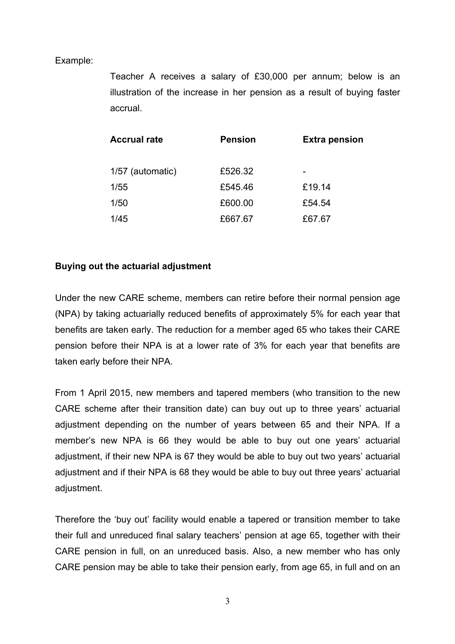## Example:

Teacher A receives a salary of £30,000 per annum; below is an illustration of the increase in her pension as a result of buying faster accrual.

| <b>Accrual rate</b> | <b>Pension</b> | <b>Extra pension</b> |
|---------------------|----------------|----------------------|
| 1/57 (automatic)    | £526.32        |                      |
| 1/55                | £545.46        | £19.14               |
| 1/50                | £600.00        | £54.54               |
| 1/45                | £667.67        | £67.67               |

## **Buying out the actuarial adjustment**

Under the new CARE scheme, members can retire before their normal pension age (NPA) by taking actuarially reduced benefits of approximately 5% for each year that benefits are taken early. The reduction for a member aged 65 who takes their CARE pension before their NPA is at a lower rate of 3% for each year that benefits are taken early before their NPA.

 CARE scheme after their transition date) can buy out up to three years' actuarial member's new NPA is 66 they would be able to buy out one years' actuarial adjustment, if their new NPA is 67 they would be able to buy out two years' actuarial adjustment and if their NPA is 68 they would be able to buy out three years' actuarial From 1 April 2015, new members and tapered members (who transition to the new adjustment depending on the number of years between 65 and their NPA. If a adjustment.

Therefore the 'buy out' facility would enable a tapered or transition member to take their full and unreduced final salary teachers' pension at age 65, together with their CARE pension in full, on an unreduced basis. Also, a new member who has only CARE pension may be able to take their pension early, from age 65, in full and on an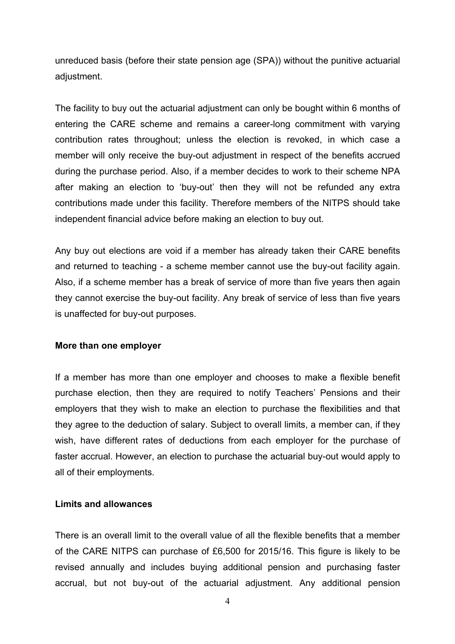unreduced basis (before their state pension age (SPA)) without the punitive actuarial adjustment.

The facility to buy out the actuarial adjustment can only be bought within 6 months of entering the CARE scheme and remains a career-long commitment with varying contribution rates throughout; unless the election is revoked, in which case a member will only receive the buy-out adjustment in respect of the benefits accrued during the purchase period. Also, if a member decides to work to their scheme NPA after making an election to 'buy-out' then they will not be refunded any extra contributions made under this facility. Therefore members of the NITPS should take independent financial advice before making an election to buy out.

 and returned to teaching - a scheme member cannot use the buy-out facility again. Any buy out elections are void if a member has already taken their CARE benefits Also, if a scheme member has a break of service of more than five years then again they cannot exercise the buy-out facility. Any break of service of less than five years is unaffected for buy-out purposes.

## **More than one employer**

If a member has more than one employer and chooses to make a flexible benefit purchase election, then they are required to notify Teachers' Pensions and their employers that they wish to make an election to purchase the flexibilities and that they agree to the deduction of salary. Subject to overall limits, a member can, if they wish, have different rates of deductions from each employer for the purchase of faster accrual. However, an election to purchase the actuarial buy-out would apply to all of their employments.

## **Limits and allowances**

There is an overall limit to the overall value of all the flexible benefits that a member of the CARE NITPS can purchase of £6,500 for 2015/16. This figure is likely to be revised annually and includes buying additional pension and purchasing faster accrual, but not buy-out of the actuarial adjustment. Any additional pension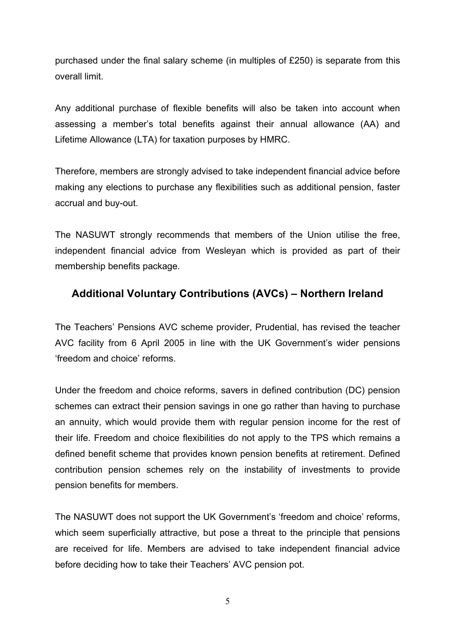purchased under the final salary scheme (in multiples of £250) is separate from this overall limit.

Any additional purchase of flexible benefits will also be taken into account when assessing a member's total benefits against their annual allowance (AA) and Lifetime Allowance (LTA) for taxation purposes by HMRC.

Therefore, members are strongly advised to take independent financial advice before making any elections to purchase any flexibilities such as additional pension, faster accrual and buy-out.

 The NASUWT strongly recommends that members of the Union utilise the free, independent financial advice from Wesleyan which is provided as part of their membership benefits package.

# **Additional Voluntary Contributions (AVCs) – Northern Ireland**

 The Teachers' Pensions AVC scheme provider, Prudential, has revised the teacher 'freedom and choice' reforms AVC facility from 6 April 2005 in line with the UK Government's wider pensions

Under the freedom and choice reforms, savers in defined contribution (DC) pension schemes can extract their pension savings in one go rather than having to purchase an annuity, which would provide them with regular pension income for the rest of their life. Freedom and choice flexibilities do not apply to the TPS which remains a defined benefit scheme that provides known pension benefits at retirement. Defined contribution pension schemes rely on the instability of investments to provide pension benefits for members.

 before deciding how to take their Teachers' AVC pension pot. The NASUWT does not support the UK Government's 'freedom and choice' reforms, which seem superficially attractive, but pose a threat to the principle that pensions are received for life. Members are advised to take independent financial advice

5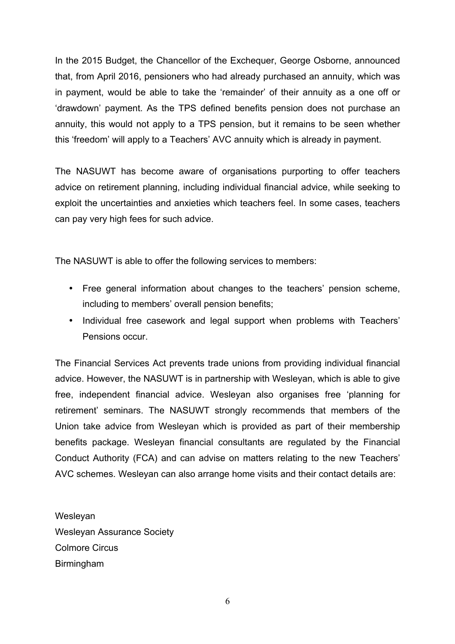In the 2015 Budget, the Chancellor of the Exchequer, George Osborne, announced that, from April 2016, pensioners who had already purchased an annuity, which was in payment, would be able to take the 'remainder' of their annuity as a one off or 'drawdown' payment. As the TPS defined benefits pension does not purchase an annuity, this would not apply to a TPS pension, but it remains to be seen whether this 'freedom' will apply to a Teachers' AVC annuity which is already in payment.

 advice on retirement planning, including individual financial advice, while seeking to The NASUWT has become aware of organisations purporting to offer teachers exploit the uncertainties and anxieties which teachers feel. In some cases, teachers can pay very high fees for such advice.

The NASUWT is able to offer the following services to members:

- • Free general information about changes to the teachers' pension scheme, including to members' overall pension benefits;
- Individual free casework and legal support when problems with Teachers' Pensions occur.

 benefits package. Wesleyan financial consultants are regulated by the Financial AVC schemes. Wesleyan can also arrange home visits and their contact details are: The Financial Services Act prevents trade unions from providing individual financial advice. However, the NASUWT is in partnership with Wesleyan, which is able to give free, independent financial advice. Wesleyan also organises free 'planning for retirement' seminars. The NASUWT strongly recommends that members of the Union take advice from Wesleyan which is provided as part of their membership Conduct Authority (FCA) and can advise on matters relating to the new Teachers'

Wesleyan Wesleyan Assurance Society Colmore Circus Birmingham